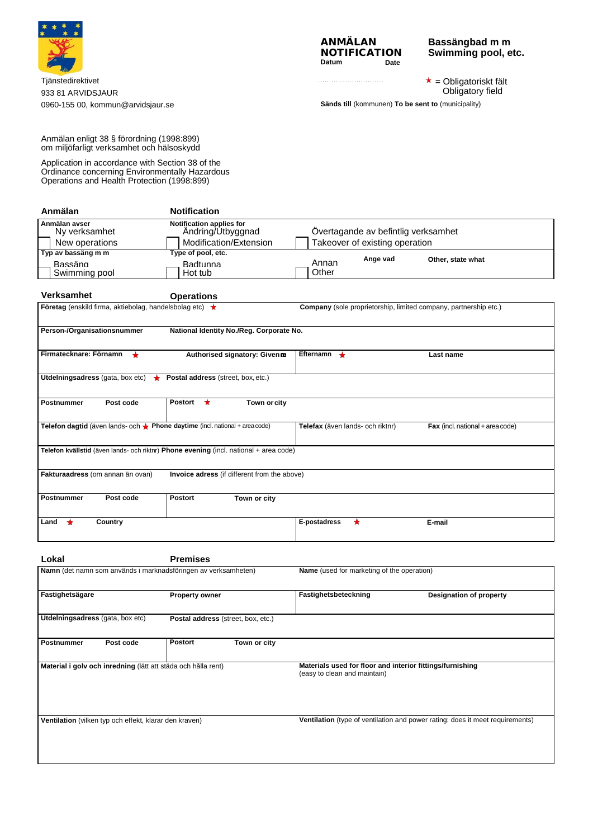

Tjänstedirektivet 933 81 ARVIDSJAUR 0960-155 00[, kommun@arvidsjaur.se](mailto:kommun@arvidsjaur.se) **Sänds till** (kommunen) **To be sent to** (municipality)



**Bassängbad m m Swimming pool, etc.**

 $\star$  = Obligatoriskt fält Obligatory field

Anmälan enligt 38 § förordning (1998:899) om miljöfarligt verksamhet och hälsoskydd

Application in accordance with Section 38 of the Ordinance concerning Environmentally Hazardous Operations and Health Protection (1998:899)

| Anmälan                         | <b>Notification</b>                           |                |                                     |                   |  |
|---------------------------------|-----------------------------------------------|----------------|-------------------------------------|-------------------|--|
| Anmälan avser<br>Ny verksamhet  | Notification applies for<br>Andring/Utbyggnad |                | Overtagande av befintlig verksamhet |                   |  |
| New operations                  | Modification/Extension                        |                | Takeover of existing operation      |                   |  |
| Typ av bassäng m m              | Type of pool, etc.                            |                |                                     |                   |  |
| <b>Bassäng</b><br>Swimming pool | <b>Badtunna</b><br>Hot tub                    | Annan<br>Other | Ange vad                            | Other, state what |  |

| Verksamhet                                                                   | <b>Operations</b>                                                                     |                                                                  |                                           |
|------------------------------------------------------------------------------|---------------------------------------------------------------------------------------|------------------------------------------------------------------|-------------------------------------------|
| <b>Företag</b> (enskild firma, aktiebolag, handelsbolag etc) $\star$         |                                                                                       | Company (sole proprietorship, limited company, partnership etc.) |                                           |
| Person-/Organisationsnummer                                                  | National Identity No./Reg. Corporate No.                                              |                                                                  |                                           |
| Firmatecknare: Förnamn<br>$\star$                                            | Authorised signatory: Given an                                                        | Efternamn $\bigstar$                                             | Last name                                 |
| Utdelningsadress (gata, box etc) $\star$                                     | Postal address (street, box, etc.)                                                    |                                                                  |                                           |
| Postnummer<br>Post code                                                      | Postort $\star$<br>Town or city                                                       |                                                                  |                                           |
| Telefon dagtid (även lands- och ★ Phone daytime (incl. national + area code) |                                                                                       | Telefax (även lands- och riktnr)                                 | <b>Fax</b> (incl. national $+$ area code) |
|                                                                              | Telefon kvällstid (även lands- och riktnr) Phone evening (incl. national + area code) |                                                                  |                                           |
| Fakturaadress (om annan än ovan)                                             | Invoice adress (if different from the above)                                          |                                                                  |                                           |
| <b>Postnummer</b><br>Post code                                               | <b>Postort</b><br>Town or city                                                        |                                                                  |                                           |
| Country<br>Land                                                              |                                                                                       | $\star$<br>E-postadress                                          | E-mail                                    |

| Lokal                                                          | <b>Premises</b>                    |                                                                                           |  |  |
|----------------------------------------------------------------|------------------------------------|-------------------------------------------------------------------------------------------|--|--|
| Namn (det namn som används i marknadsföringen av verksamheten) |                                    | <b>Name</b> (used for marketing of the operation)                                         |  |  |
| Fastighetsägare                                                | <b>Property owner</b>              | Fastighetsbeteckning<br>Designation of property                                           |  |  |
| Utdelningsadress (gata, box etc)                               | Postal address (street, box, etc.) |                                                                                           |  |  |
| Postnummer<br>Post code                                        | <b>Postort</b><br>Town or city     |                                                                                           |  |  |
| Material i golv och inredning (lätt att städa och hålla rent)  |                                    | Materials used for floor and interior fittings/furnishing<br>(easy to clean and maintain) |  |  |
| Ventilation (vilken typ och effekt, klarar den kraven)         |                                    | Ventilation (type of ventilation and power rating: does it meet requirements)             |  |  |
|                                                                |                                    |                                                                                           |  |  |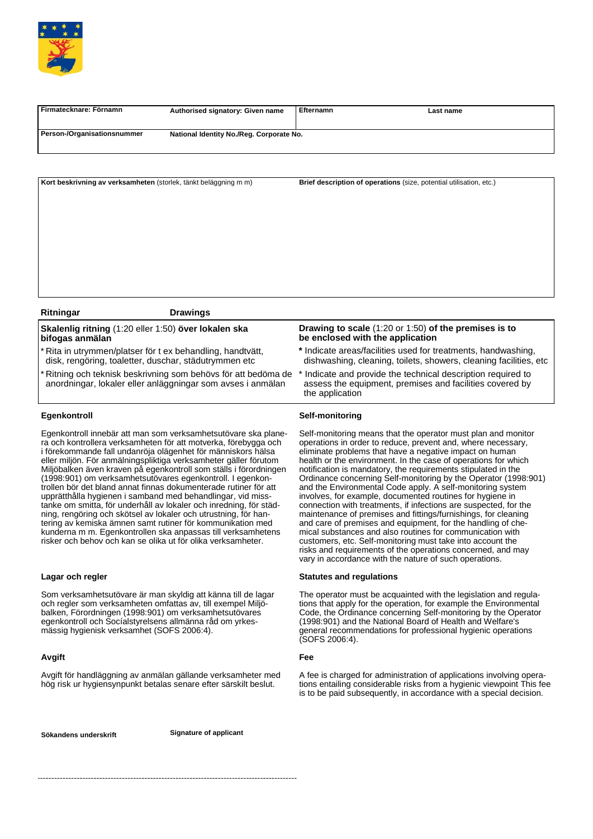

| I Firmatecknare: Förnamn    | Authorised signatory: Given name         | Efternamn | Last name |  |
|-----------------------------|------------------------------------------|-----------|-----------|--|
| Person-/Organisationsnummer | National Identity No./Reg. Corporate No. |           |           |  |
|                             |                                          |           |           |  |

**Kort beskrivning av verksamheten** (storlek, tänkt beläggning m m) **Brief description of operations** (size, potential utilisation, etc.)

#### **Ritningar Drawings**

**Skalenlig ritning** (1:20 eller 1:50) **över lokalen ska bifogas anmälan**

Rita in utrymmen/platser för t ex behandling, handtvätt, disk, rengöring, toaletter, duschar, städutrymmen etc

Ritning och teknisk beskrivning som behövs för att bedöma de anordningar, lokaler eller anläggningar som avses i anmälan

### **Egenkontroll**

Egenkontroll innebär att man som verksamhetsutövare ska planera och kontrollera verksamheten för att motverka, förebygga och i förekommande fall undanröja olägenhet för människors hälsa eller miljön. För anmälningspliktiga verksamheter gäller förutom Miljöbalken även kraven på egenkontroll som ställs i förordningen (1998:901) om verksamhetsutövares egenkontroll. I egenkontrollen bör det bland annat finnas dokumenterade rutiner för att upprätthålla hygienen i samband med behandlingar, vid misstanke om smitta, för underhåll av lokaler och inredning, för städning, rengöring och skötsel av lokaler och utrustning, för hantering av kemiska ämnen samt rutiner för kommunikation med kunderna m m. Egenkontrollen ska anpassas till verksamhetens risker och behov och kan se olika ut för olika verksamheter.

## **Lagar och regler**

Som verksamhetsutövare är man skyldig att känna till de lagar och regler som verksamheten omfattas av, till exempel Miljöbalken, Förordningen (1998:901) om verksamhetsutövares egenkontroll och Socíalstyrelsens allmänna råd om yrkesmässig hygienisk verksamhet (SOFS 2006:4).

## **Avgift**

Avgift för handläggning av anmälan gällande verksamheter med hög risk ur hygiensynpunkt betalas senare efter särskilt beslut.

**Sökandens underskrift Signature of applicant**

**Drawing to scale** (1:20 or 1:50) **of the premises is to be enclosed with the application**

- **\*** Indicate areas/facilities used for treatments, handwashing, dishwashing, cleaning, toilets, showers, cleaning facilities, etc
- Indicate and provide the technical description required to assess the equipment, premises and facilities covered by the application

## **Self-monitoring**

Self-monitoring means that the operator must plan and monitor operations in order to reduce, prevent and, where necessary, eliminate problems that have a negative impact on human health or the environment. In the case of operations for which notification is mandatory, the requirements stipulated in the Ordinance concerning Self-monitoring by the Operator (1998:901) and the Environmental Code apply. A self-monitoring system involves, for example, documented routines for hygiene in connection with treatments, if infections are suspected, for the maintenance of premises and fittings/furnishings, for cleaning and care of premises and equipment, for the handling of chemical substances and also routines for communication with customers, etc. Self-monitoring must take into account the risks and requirements of the operations concerned, and may vary in accordance with the nature of such operations.

## **Statutes and regulations**

The operator must be acquainted with the legislation and regulations that apply for the operation, for example the Environmental Code, the Ordinance concerning Self-monitoring by the Operator (1998:901) and the National Board of Health and Welfare's general recommendations for professional hygienic operations (SOFS 2006:4).

### **Fee**

A fee is charged for administration of applications involving operations entailing considerable risks from a hygienic viewpoint This fee is to be paid subsequently, in accordance with a special decision.